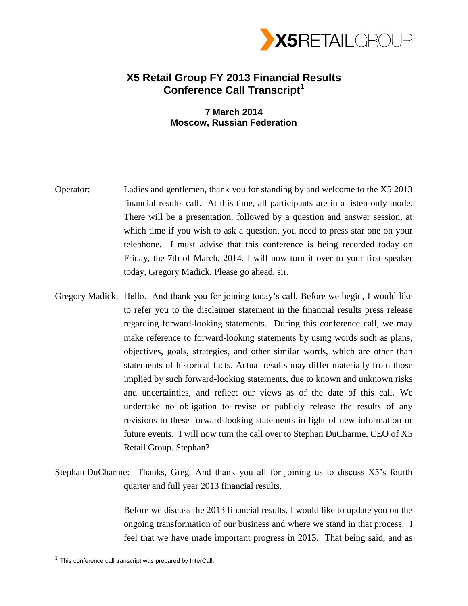

## **X5 Retail Group FY 2013 Financial Results Conference Call Transcript<sup>1</sup>**

## **7 March 2014 Moscow, Russian Federation**

- Operator: Ladies and gentlemen, thank you for standing by and welcome to the X5 2013 financial results call. At this time, all participants are in a listen-only mode. There will be a presentation, followed by a question and answer session, at which time if you wish to ask a question, you need to press star one on your telephone. I must advise that this conference is being recorded today on Friday, the 7th of March, 2014. I will now turn it over to your first speaker today, Gregory Madick. Please go ahead, sir.
- Gregory Madick: Hello. And thank you for joining today's call. Before we begin, I would like to refer you to the disclaimer statement in the financial results press release regarding forward-looking statements. During this conference call, we may make reference to forward-looking statements by using words such as plans, objectives, goals, strategies, and other similar words, which are other than statements of historical facts. Actual results may differ materially from those implied by such forward-looking statements, due to known and unknown risks and uncertainties, and reflect our views as of the date of this call. We undertake no obligation to revise or publicly release the results of any revisions to these forward-looking statements in light of new information or future events. I will now turn the call over to Stephan DuCharme, CEO of X5 Retail Group. Stephan?
- Stephan DuCharme: Thanks, Greg. And thank you all for joining us to discuss X5's fourth quarter and full year 2013 financial results.

Before we discuss the 2013 financial results, I would like to update you on the ongoing transformation of our business and where we stand in that process. I feel that we have made important progress in 2013. That being said, and as

 $\overline{a}$ 

 $1$  This conference call transcript was prepared by InterCall.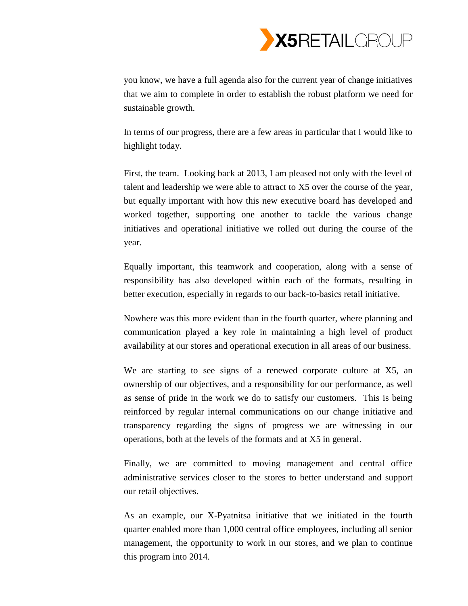

you know, we have a full agenda also for the current year of change initiatives that we aim to complete in order to establish the robust platform we need for sustainable growth.

In terms of our progress, there are a few areas in particular that I would like to highlight today.

First, the team. Looking back at 2013, I am pleased not only with the level of talent and leadership we were able to attract to X5 over the course of the year, but equally important with how this new executive board has developed and worked together, supporting one another to tackle the various change initiatives and operational initiative we rolled out during the course of the year.

Equally important, this teamwork and cooperation, along with a sense of responsibility has also developed within each of the formats, resulting in better execution, especially in regards to our back-to-basics retail initiative.

Nowhere was this more evident than in the fourth quarter, where planning and communication played a key role in maintaining a high level of product availability at our stores and operational execution in all areas of our business.

We are starting to see signs of a renewed corporate culture at X5, an ownership of our objectives, and a responsibility for our performance, as well as sense of pride in the work we do to satisfy our customers. This is being reinforced by regular internal communications on our change initiative and transparency regarding the signs of progress we are witnessing in our operations, both at the levels of the formats and at X5 in general.

Finally, we are committed to moving management and central office administrative services closer to the stores to better understand and support our retail objectives.

As an example, our X-Pyatnitsa initiative that we initiated in the fourth quarter enabled more than 1,000 central office employees, including all senior management, the opportunity to work in our stores, and we plan to continue this program into 2014.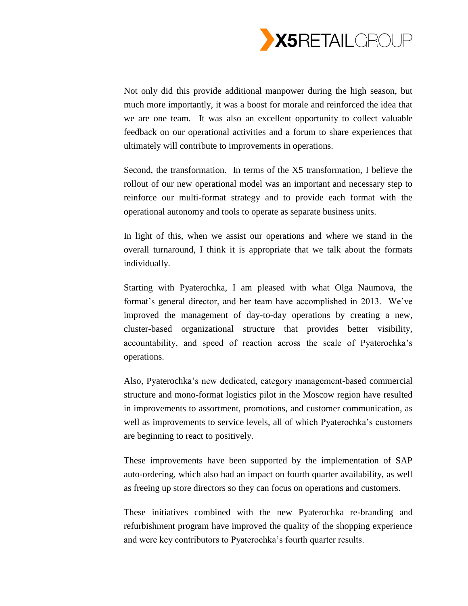

Not only did this provide additional manpower during the high season, but much more importantly, it was a boost for morale and reinforced the idea that we are one team. It was also an excellent opportunity to collect valuable feedback on our operational activities and a forum to share experiences that ultimately will contribute to improvements in operations.

Second, the transformation. In terms of the X5 transformation, I believe the rollout of our new operational model was an important and necessary step to reinforce our multi-format strategy and to provide each format with the operational autonomy and tools to operate as separate business units.

In light of this, when we assist our operations and where we stand in the overall turnaround, I think it is appropriate that we talk about the formats individually.

Starting with Pyaterochka, I am pleased with what Olga Naumova, the format's general director, and her team have accomplished in 2013. We've improved the management of day-to-day operations by creating a new, cluster-based organizational structure that provides better visibility, accountability, and speed of reaction across the scale of Pyaterochka's operations.

Also, Pyaterochka's new dedicated, category management-based commercial structure and mono-format logistics pilot in the Moscow region have resulted in improvements to assortment, promotions, and customer communication, as well as improvements to service levels, all of which Pyaterochka's customers are beginning to react to positively.

These improvements have been supported by the implementation of SAP auto-ordering, which also had an impact on fourth quarter availability, as well as freeing up store directors so they can focus on operations and customers.

These initiatives combined with the new Pyaterochka re-branding and refurbishment program have improved the quality of the shopping experience and were key contributors to Pyaterochka's fourth quarter results.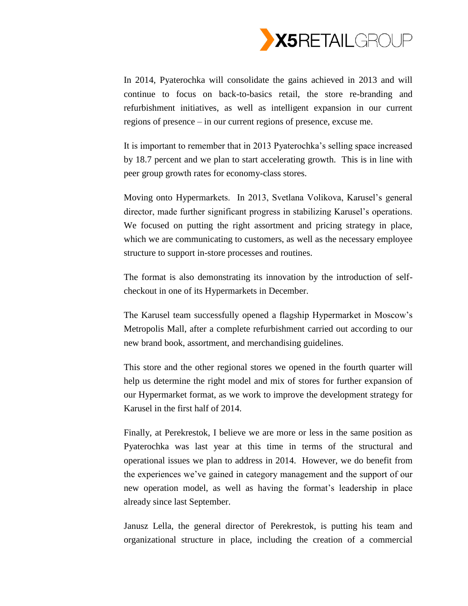

In 2014, Pyaterochka will consolidate the gains achieved in 2013 and will continue to focus on back-to-basics retail, the store re-branding and refurbishment initiatives, as well as intelligent expansion in our current regions of presence – in our current regions of presence, excuse me.

It is important to remember that in 2013 Pyaterochka's selling space increased by 18.7 percent and we plan to start accelerating growth. This is in line with peer group growth rates for economy-class stores.

Moving onto Hypermarkets. In 2013, Svetlana Volikova, Karusel's general director, made further significant progress in stabilizing Karusel's operations. We focused on putting the right assortment and pricing strategy in place, which we are communicating to customers, as well as the necessary employee structure to support in-store processes and routines.

The format is also demonstrating its innovation by the introduction of selfcheckout in one of its Hypermarkets in December.

The Karusel team successfully opened a flagship Hypermarket in Moscow's Metropolis Mall, after a complete refurbishment carried out according to our new brand book, assortment, and merchandising guidelines.

This store and the other regional stores we opened in the fourth quarter will help us determine the right model and mix of stores for further expansion of our Hypermarket format, as we work to improve the development strategy for Karusel in the first half of 2014.

Finally, at Perekrestok, I believe we are more or less in the same position as Pyaterochka was last year at this time in terms of the structural and operational issues we plan to address in 2014. However, we do benefit from the experiences we've gained in category management and the support of our new operation model, as well as having the format's leadership in place already since last September.

Janusz Lella, the general director of Perekrestok, is putting his team and organizational structure in place, including the creation of a commercial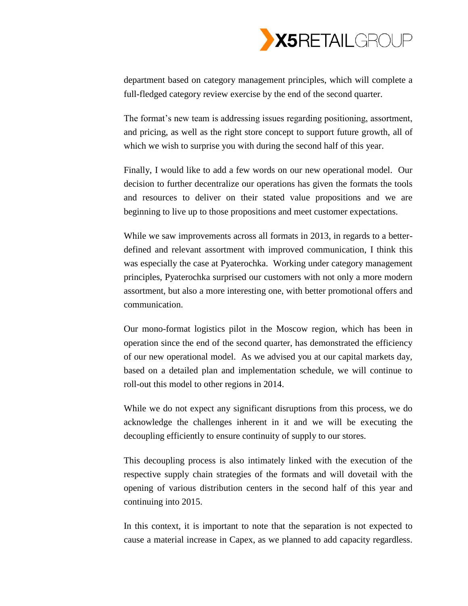

department based on category management principles, which will complete a full-fledged category review exercise by the end of the second quarter.

The format's new team is addressing issues regarding positioning, assortment, and pricing, as well as the right store concept to support future growth, all of which we wish to surprise you with during the second half of this year.

Finally, I would like to add a few words on our new operational model. Our decision to further decentralize our operations has given the formats the tools and resources to deliver on their stated value propositions and we are beginning to live up to those propositions and meet customer expectations.

While we saw improvements across all formats in 2013, in regards to a betterdefined and relevant assortment with improved communication, I think this was especially the case at Pyaterochka. Working under category management principles, Pyaterochka surprised our customers with not only a more modern assortment, but also a more interesting one, with better promotional offers and communication.

Our mono-format logistics pilot in the Moscow region, which has been in operation since the end of the second quarter, has demonstrated the efficiency of our new operational model. As we advised you at our capital markets day, based on a detailed plan and implementation schedule, we will continue to roll-out this model to other regions in 2014.

While we do not expect any significant disruptions from this process, we do acknowledge the challenges inherent in it and we will be executing the decoupling efficiently to ensure continuity of supply to our stores.

This decoupling process is also intimately linked with the execution of the respective supply chain strategies of the formats and will dovetail with the opening of various distribution centers in the second half of this year and continuing into 2015.

In this context, it is important to note that the separation is not expected to cause a material increase in Capex, as we planned to add capacity regardless.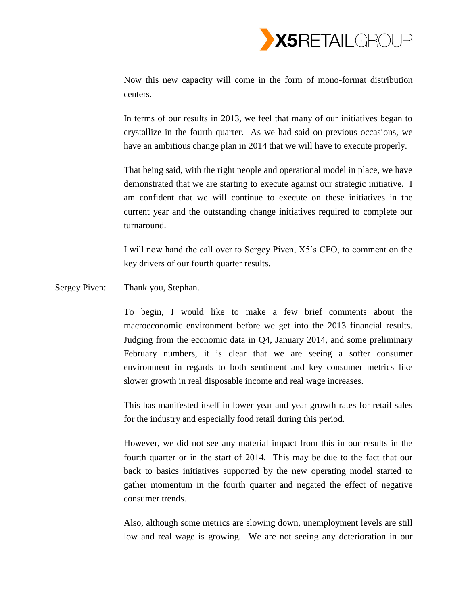

Now this new capacity will come in the form of mono-format distribution centers.

In terms of our results in 2013, we feel that many of our initiatives began to crystallize in the fourth quarter. As we had said on previous occasions, we have an ambitious change plan in 2014 that we will have to execute properly.

That being said, with the right people and operational model in place, we have demonstrated that we are starting to execute against our strategic initiative. I am confident that we will continue to execute on these initiatives in the current year and the outstanding change initiatives required to complete our turnaround.

I will now hand the call over to Sergey Piven, X5's CFO, to comment on the key drivers of our fourth quarter results.

Sergey Piven: Thank you, Stephan.

To begin, I would like to make a few brief comments about the macroeconomic environment before we get into the 2013 financial results. Judging from the economic data in Q4, January 2014, and some preliminary February numbers, it is clear that we are seeing a softer consumer environment in regards to both sentiment and key consumer metrics like slower growth in real disposable income and real wage increases.

This has manifested itself in lower year and year growth rates for retail sales for the industry and especially food retail during this period.

However, we did not see any material impact from this in our results in the fourth quarter or in the start of 2014. This may be due to the fact that our back to basics initiatives supported by the new operating model started to gather momentum in the fourth quarter and negated the effect of negative consumer trends.

Also, although some metrics are slowing down, unemployment levels are still low and real wage is growing. We are not seeing any deterioration in our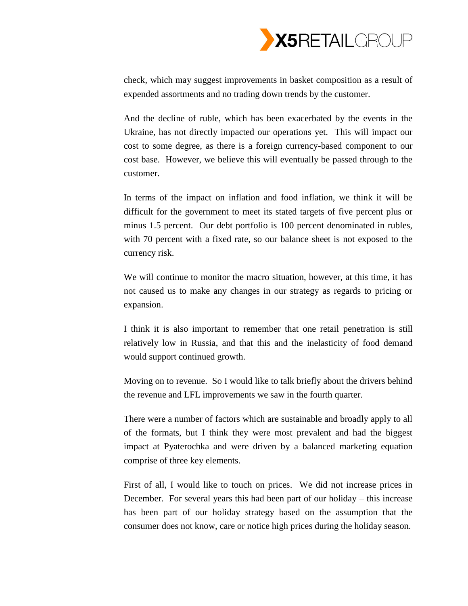

check, which may suggest improvements in basket composition as a result of expended assortments and no trading down trends by the customer.

And the decline of ruble, which has been exacerbated by the events in the Ukraine, has not directly impacted our operations yet. This will impact our cost to some degree, as there is a foreign currency-based component to our cost base. However, we believe this will eventually be passed through to the customer.

In terms of the impact on inflation and food inflation, we think it will be difficult for the government to meet its stated targets of five percent plus or minus 1.5 percent. Our debt portfolio is 100 percent denominated in rubles, with 70 percent with a fixed rate, so our balance sheet is not exposed to the currency risk.

We will continue to monitor the macro situation, however, at this time, it has not caused us to make any changes in our strategy as regards to pricing or expansion.

I think it is also important to remember that one retail penetration is still relatively low in Russia, and that this and the inelasticity of food demand would support continued growth.

Moving on to revenue. So I would like to talk briefly about the drivers behind the revenue and LFL improvements we saw in the fourth quarter.

There were a number of factors which are sustainable and broadly apply to all of the formats, but I think they were most prevalent and had the biggest impact at Pyaterochka and were driven by a balanced marketing equation comprise of three key elements.

First of all, I would like to touch on prices. We did not increase prices in December. For several years this had been part of our holiday – this increase has been part of our holiday strategy based on the assumption that the consumer does not know, care or notice high prices during the holiday season.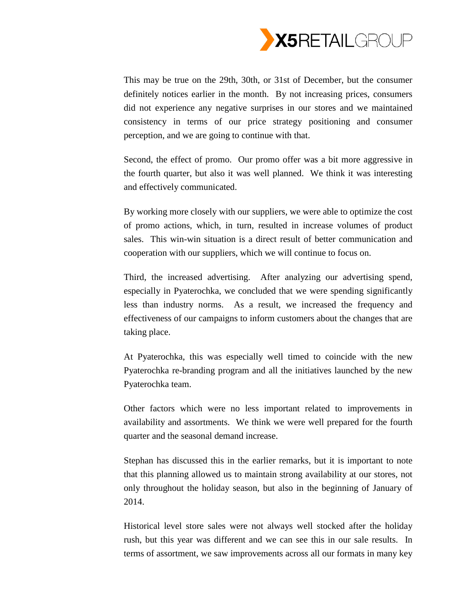

This may be true on the 29th, 30th, or 31st of December, but the consumer definitely notices earlier in the month. By not increasing prices, consumers did not experience any negative surprises in our stores and we maintained consistency in terms of our price strategy positioning and consumer perception, and we are going to continue with that.

Second, the effect of promo. Our promo offer was a bit more aggressive in the fourth quarter, but also it was well planned. We think it was interesting and effectively communicated.

By working more closely with our suppliers, we were able to optimize the cost of promo actions, which, in turn, resulted in increase volumes of product sales. This win-win situation is a direct result of better communication and cooperation with our suppliers, which we will continue to focus on.

Third, the increased advertising. After analyzing our advertising spend, especially in Pyaterochka, we concluded that we were spending significantly less than industry norms. As a result, we increased the frequency and effectiveness of our campaigns to inform customers about the changes that are taking place.

At Pyaterochka, this was especially well timed to coincide with the new Pyaterochka re-branding program and all the initiatives launched by the new Pyaterochka team.

Other factors which were no less important related to improvements in availability and assortments. We think we were well prepared for the fourth quarter and the seasonal demand increase.

Stephan has discussed this in the earlier remarks, but it is important to note that this planning allowed us to maintain strong availability at our stores, not only throughout the holiday season, but also in the beginning of January of 2014.

Historical level store sales were not always well stocked after the holiday rush, but this year was different and we can see this in our sale results. In terms of assortment, we saw improvements across all our formats in many key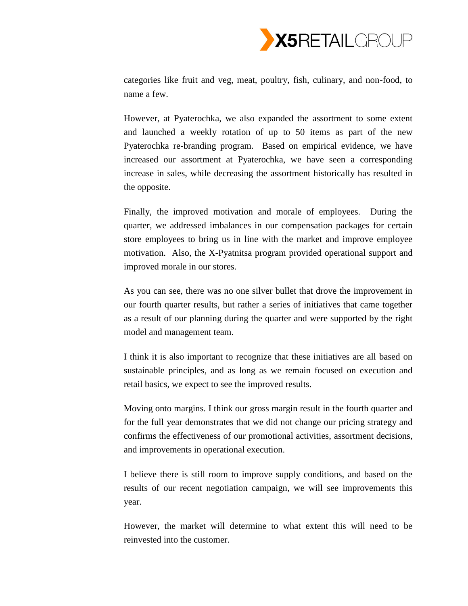

categories like fruit and veg, meat, poultry, fish, culinary, and non-food, to name a few.

However, at Pyaterochka, we also expanded the assortment to some extent and launched a weekly rotation of up to 50 items as part of the new Pyaterochka re-branding program. Based on empirical evidence, we have increased our assortment at Pyaterochka, we have seen a corresponding increase in sales, while decreasing the assortment historically has resulted in the opposite.

Finally, the improved motivation and morale of employees. During the quarter, we addressed imbalances in our compensation packages for certain store employees to bring us in line with the market and improve employee motivation. Also, the X-Pyatnitsa program provided operational support and improved morale in our stores.

As you can see, there was no one silver bullet that drove the improvement in our fourth quarter results, but rather a series of initiatives that came together as a result of our planning during the quarter and were supported by the right model and management team.

I think it is also important to recognize that these initiatives are all based on sustainable principles, and as long as we remain focused on execution and retail basics, we expect to see the improved results.

Moving onto margins. I think our gross margin result in the fourth quarter and for the full year demonstrates that we did not change our pricing strategy and confirms the effectiveness of our promotional activities, assortment decisions, and improvements in operational execution.

I believe there is still room to improve supply conditions, and based on the results of our recent negotiation campaign, we will see improvements this year.

However, the market will determine to what extent this will need to be reinvested into the customer.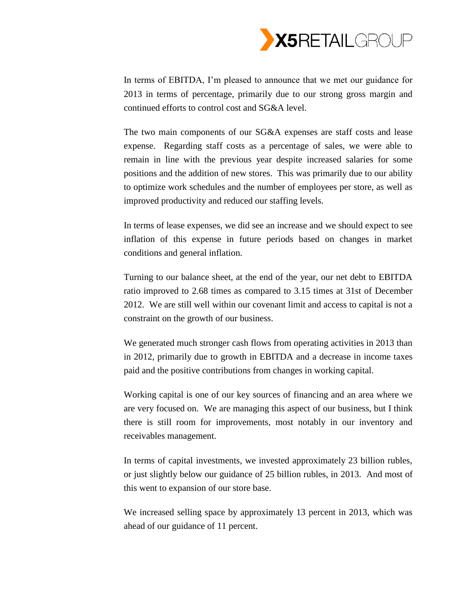

In terms of EBITDA, I'm pleased to announce that we met our guidance for 2013 in terms of percentage, primarily due to our strong gross margin and continued efforts to control cost and SG&A level.

The two main components of our SG&A expenses are staff costs and lease expense. Regarding staff costs as a percentage of sales, we were able to remain in line with the previous year despite increased salaries for some positions and the addition of new stores. This was primarily due to our ability to optimize work schedules and the number of employees per store, as well as improved productivity and reduced our staffing levels.

In terms of lease expenses, we did see an increase and we should expect to see inflation of this expense in future periods based on changes in market conditions and general inflation.

Turning to our balance sheet, at the end of the year, our net debt to EBITDA ratio improved to 2.68 times as compared to 3.15 times at 31st of December 2012. We are still well within our covenant limit and access to capital is not a constraint on the growth of our business.

We generated much stronger cash flows from operating activities in 2013 than in 2012, primarily due to growth in EBITDA and a decrease in income taxes paid and the positive contributions from changes in working capital.

Working capital is one of our key sources of financing and an area where we are very focused on. We are managing this aspect of our business, but I think there is still room for improvements, most notably in our inventory and receivables management.

In terms of capital investments, we invested approximately 23 billion rubles, or just slightly below our guidance of 25 billion rubles, in 2013. And most of this went to expansion of our store base.

We increased selling space by approximately 13 percent in 2013, which was ahead of our guidance of 11 percent.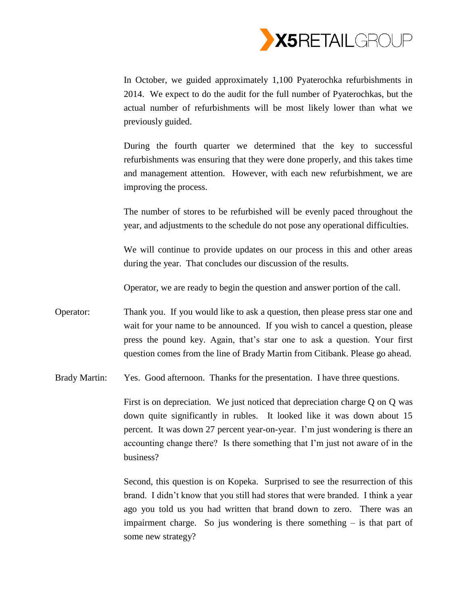

In October, we guided approximately 1,100 Pyaterochka refurbishments in 2014. We expect to do the audit for the full number of Pyaterochkas, but the actual number of refurbishments will be most likely lower than what we previously guided.

During the fourth quarter we determined that the key to successful refurbishments was ensuring that they were done properly, and this takes time and management attention. However, with each new refurbishment, we are improving the process.

The number of stores to be refurbished will be evenly paced throughout the year, and adjustments to the schedule do not pose any operational difficulties.

We will continue to provide updates on our process in this and other areas during the year. That concludes our discussion of the results.

Operator, we are ready to begin the question and answer portion of the call.

Operator: Thank you. If you would like to ask a question, then please press star one and wait for your name to be announced. If you wish to cancel a question, please press the pound key. Again, that's star one to ask a question. Your first question comes from the line of Brady Martin from Citibank. Please go ahead.

Brady Martin: Yes. Good afternoon. Thanks for the presentation. I have three questions.

First is on depreciation. We just noticed that depreciation charge Q on Q was down quite significantly in rubles. It looked like it was down about 15 percent. It was down 27 percent year-on-year. I'm just wondering is there an accounting change there? Is there something that I'm just not aware of in the business?

Second, this question is on Kopeka. Surprised to see the resurrection of this brand. I didn't know that you still had stores that were branded. I think a year ago you told us you had written that brand down to zero. There was an impairment charge. So jus wondering is there something  $-$  is that part of some new strategy?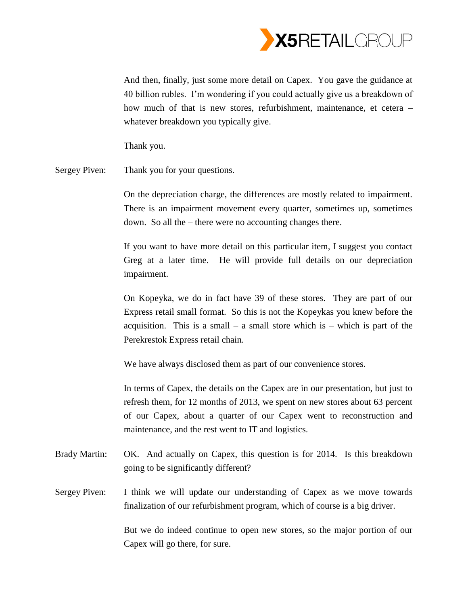

And then, finally, just some more detail on Capex. You gave the guidance at 40 billion rubles. I'm wondering if you could actually give us a breakdown of how much of that is new stores, refurbishment, maintenance, et cetera – whatever breakdown you typically give.

Thank you.

Sergey Piven: Thank you for your questions.

On the depreciation charge, the differences are mostly related to impairment. There is an impairment movement every quarter, sometimes up, sometimes down. So all the – there were no accounting changes there.

If you want to have more detail on this particular item, I suggest you contact Greg at a later time. He will provide full details on our depreciation impairment.

On Kopeyka, we do in fact have 39 of these stores. They are part of our Express retail small format. So this is not the Kopeykas you knew before the acquisition. This is a small – a small store which is – which is part of the Perekrestok Express retail chain.

We have always disclosed them as part of our convenience stores.

In terms of Capex, the details on the Capex are in our presentation, but just to refresh them, for 12 months of 2013, we spent on new stores about 63 percent of our Capex, about a quarter of our Capex went to reconstruction and maintenance, and the rest went to IT and logistics.

- Brady Martin: OK. And actually on Capex, this question is for 2014. Is this breakdown going to be significantly different?
- Sergey Piven: I think we will update our understanding of Capex as we move towards finalization of our refurbishment program, which of course is a big driver.

But we do indeed continue to open new stores, so the major portion of our Capex will go there, for sure.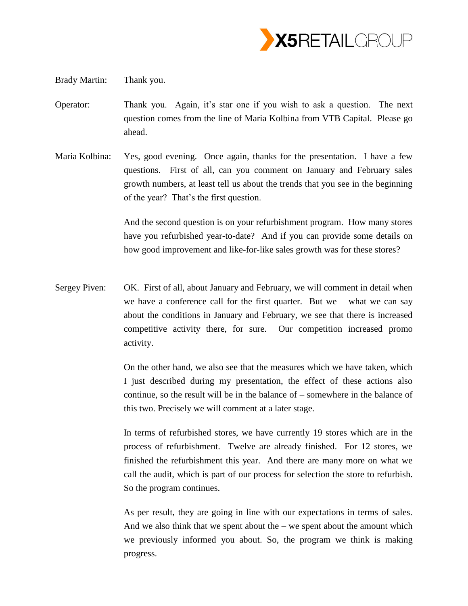

Brady Martin: Thank you.

- Operator: Thank you. Again, it's star one if you wish to ask a question. The next question comes from the line of Maria Kolbina from VTB Capital. Please go ahead.
- Maria Kolbina: Yes, good evening. Once again, thanks for the presentation. I have a few questions. First of all, can you comment on January and February sales growth numbers, at least tell us about the trends that you see in the beginning of the year? That's the first question.

And the second question is on your refurbishment program. How many stores have you refurbished year-to-date? And if you can provide some details on how good improvement and like-for-like sales growth was for these stores?

Sergey Piven: OK. First of all, about January and February, we will comment in detail when we have a conference call for the first quarter. But we – what we can say about the conditions in January and February, we see that there is increased competitive activity there, for sure. Our competition increased promo activity.

> On the other hand, we also see that the measures which we have taken, which I just described during my presentation, the effect of these actions also continue, so the result will be in the balance of – somewhere in the balance of this two. Precisely we will comment at a later stage.

> In terms of refurbished stores, we have currently 19 stores which are in the process of refurbishment. Twelve are already finished. For 12 stores, we finished the refurbishment this year. And there are many more on what we call the audit, which is part of our process for selection the store to refurbish. So the program continues.

> As per result, they are going in line with our expectations in terms of sales. And we also think that we spent about the  $-$  we spent about the amount which we previously informed you about. So, the program we think is making progress.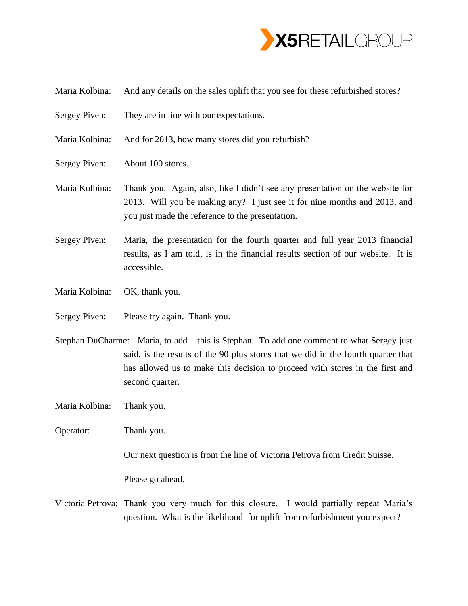

- Maria Kolbina: And any details on the sales uplift that you see for these refurbished stores?
- Sergey Piven: They are in line with our expectations.
- Maria Kolbina: And for 2013, how many stores did you refurbish?
- Sergey Piven: About 100 stores.
- Maria Kolbina: Thank you. Again, also, like I didn't see any presentation on the website for 2013. Will you be making any? I just see it for nine months and 2013, and you just made the reference to the presentation.
- Sergey Piven: Maria, the presentation for the fourth quarter and full year 2013 financial results, as I am told, is in the financial results section of our website. It is accessible.
- Maria Kolbina: OK, thank you.
- Sergey Piven: Please try again. Thank you.
- Stephan DuCharme: Maria, to add this is Stephan. To add one comment to what Sergey just said, is the results of the 90 plus stores that we did in the fourth quarter that has allowed us to make this decision to proceed with stores in the first and second quarter.
- Maria Kolbina: Thank you.
- Operator: Thank you.

Our next question is from the line of Victoria Petrova from Credit Suisse.

Please go ahead.

Victoria Petrova: Thank you very much for this closure. I would partially repeat Maria's question. What is the likelihood for uplift from refurbishment you expect?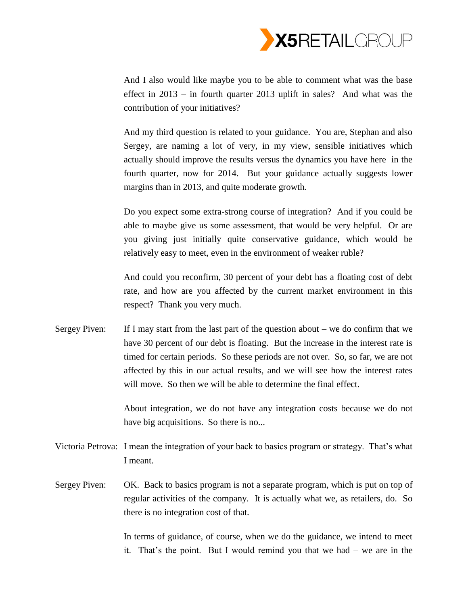

And I also would like maybe you to be able to comment what was the base effect in 2013 – in fourth quarter 2013 uplift in sales? And what was the contribution of your initiatives?

And my third question is related to your guidance. You are, Stephan and also Sergey, are naming a lot of very, in my view, sensible initiatives which actually should improve the results versus the dynamics you have here in the fourth quarter, now for 2014. But your guidance actually suggests lower margins than in 2013, and quite moderate growth.

Do you expect some extra-strong course of integration? And if you could be able to maybe give us some assessment, that would be very helpful. Or are you giving just initially quite conservative guidance, which would be relatively easy to meet, even in the environment of weaker ruble?

And could you reconfirm, 30 percent of your debt has a floating cost of debt rate, and how are you affected by the current market environment in this respect? Thank you very much.

Sergey Piven: If I may start from the last part of the question about – we do confirm that we have 30 percent of our debt is floating. But the increase in the interest rate is timed for certain periods. So these periods are not over. So, so far, we are not affected by this in our actual results, and we will see how the interest rates will move. So then we will be able to determine the final effect.

> About integration, we do not have any integration costs because we do not have big acquisitions. So there is no...

- Victoria Petrova: I mean the integration of your back to basics program or strategy. That's what I meant.
- Sergey Piven: OK. Back to basics program is not a separate program, which is put on top of regular activities of the company. It is actually what we, as retailers, do. So there is no integration cost of that.

In terms of guidance, of course, when we do the guidance, we intend to meet it. That's the point. But I would remind you that we had – we are in the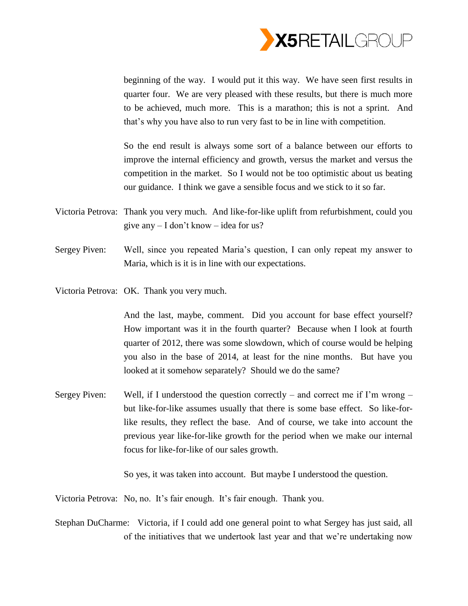

beginning of the way. I would put it this way. We have seen first results in quarter four. We are very pleased with these results, but there is much more to be achieved, much more. This is a marathon; this is not a sprint. And that's why you have also to run very fast to be in line with competition.

So the end result is always some sort of a balance between our efforts to improve the internal efficiency and growth, versus the market and versus the competition in the market. So I would not be too optimistic about us beating our guidance. I think we gave a sensible focus and we stick to it so far.

- Victoria Petrova: Thank you very much. And like-for-like uplift from refurbishment, could you give any – I don't know – idea for us?
- Sergey Piven: Well, since you repeated Maria's question, I can only repeat my answer to Maria, which is it is in line with our expectations.
- Victoria Petrova: OK. Thank you very much.

And the last, maybe, comment. Did you account for base effect yourself? How important was it in the fourth quarter? Because when I look at fourth quarter of 2012, there was some slowdown, which of course would be helping you also in the base of 2014, at least for the nine months. But have you looked at it somehow separately? Should we do the same?

Sergey Piven: Well, if I understood the question correctly – and correct me if I'm wrong – but like-for-like assumes usually that there is some base effect. So like-forlike results, they reflect the base. And of course, we take into account the previous year like-for-like growth for the period when we make our internal focus for like-for-like of our sales growth.

So yes, it was taken into account. But maybe I understood the question.

Victoria Petrova: No, no. It's fair enough. It's fair enough. Thank you.

Stephan DuCharme: Victoria, if I could add one general point to what Sergey has just said, all of the initiatives that we undertook last year and that we're undertaking now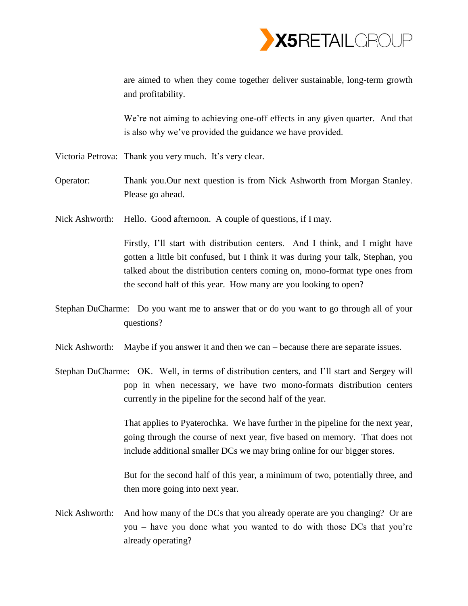

are aimed to when they come together deliver sustainable, long-term growth and profitability.

We're not aiming to achieving one-off effects in any given quarter. And that is also why we've provided the guidance we have provided.

- Victoria Petrova: Thank you very much. It's very clear.
- Operator: Thank you.Our next question is from Nick Ashworth from Morgan Stanley. Please go ahead.
- Nick Ashworth: Hello. Good afternoon. A couple of questions, if I may.

Firstly, I'll start with distribution centers. And I think, and I might have gotten a little bit confused, but I think it was during your talk, Stephan, you talked about the distribution centers coming on, mono-format type ones from the second half of this year. How many are you looking to open?

- Stephan DuCharme: Do you want me to answer that or do you want to go through all of your questions?
- Nick Ashworth: Maybe if you answer it and then we can because there are separate issues.
- Stephan DuCharme: OK. Well, in terms of distribution centers, and I'll start and Sergey will pop in when necessary, we have two mono-formats distribution centers currently in the pipeline for the second half of the year.

That applies to Pyaterochka. We have further in the pipeline for the next year, going through the course of next year, five based on memory. That does not include additional smaller DCs we may bring online for our bigger stores.

But for the second half of this year, a minimum of two, potentially three, and then more going into next year.

Nick Ashworth: And how many of the DCs that you already operate are you changing? Or are you – have you done what you wanted to do with those DCs that you're already operating?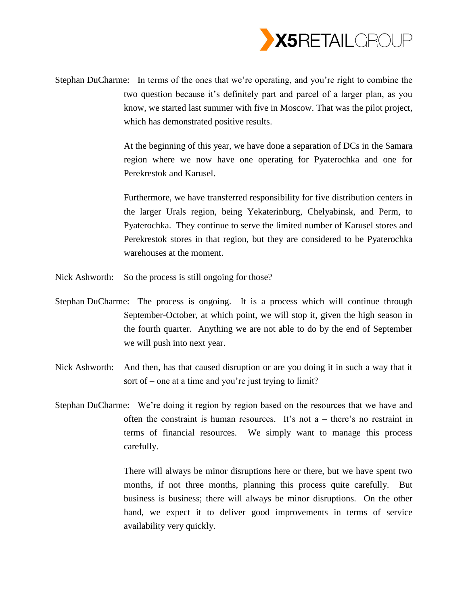

Stephan DuCharme: In terms of the ones that we're operating, and you're right to combine the two question because it's definitely part and parcel of a larger plan, as you know, we started last summer with five in Moscow. That was the pilot project, which has demonstrated positive results.

> At the beginning of this year, we have done a separation of DCs in the Samara region where we now have one operating for Pyaterochka and one for Perekrestok and Karusel.

> Furthermore, we have transferred responsibility for five distribution centers in the larger Urals region, being Yekaterinburg, Chelyabinsk, and Perm, to Pyaterochka. They continue to serve the limited number of Karusel stores and Perekrestok stores in that region, but they are considered to be Pyaterochka warehouses at the moment.

- Nick Ashworth: So the process is still ongoing for those?
- Stephan DuCharme: The process is ongoing. It is a process which will continue through September-October, at which point, we will stop it, given the high season in the fourth quarter. Anything we are not able to do by the end of September we will push into next year.
- Nick Ashworth: And then, has that caused disruption or are you doing it in such a way that it sort of – one at a time and you're just trying to limit?
- Stephan DuCharme: We're doing it region by region based on the resources that we have and often the constraint is human resources. It's not  $a$  – there's no restraint in terms of financial resources. We simply want to manage this process carefully.

There will always be minor disruptions here or there, but we have spent two months, if not three months, planning this process quite carefully. But business is business; there will always be minor disruptions. On the other hand, we expect it to deliver good improvements in terms of service availability very quickly.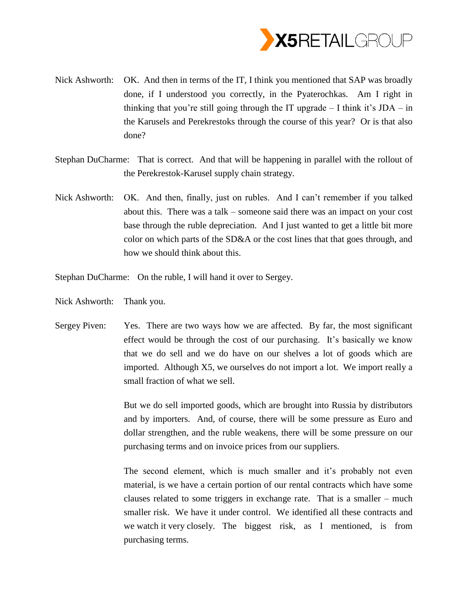

- Nick Ashworth: OK. And then in terms of the IT, I think you mentioned that SAP was broadly done, if I understood you correctly, in the Pyaterochkas. Am I right in thinking that you're still going through the IT upgrade  $-$  I think it's JDA  $-$  in the Karusels and Perekrestoks through the course of this year? Or is that also done?
- Stephan DuCharme: That is correct. And that will be happening in parallel with the rollout of the Perekrestok-Karusel supply chain strategy.
- Nick Ashworth: OK. And then, finally, just on rubles. And I can't remember if you talked about this. There was a talk – someone said there was an impact on your cost base through the ruble depreciation. And I just wanted to get a little bit more color on which parts of the SD&A or the cost lines that that goes through, and how we should think about this.

Stephan DuCharme: On the ruble, I will hand it over to Sergey.

- Nick Ashworth: Thank you.
- Sergey Piven: Yes. There are two ways how we are affected. By far, the most significant effect would be through the cost of our purchasing. It's basically we know that we do sell and we do have on our shelves a lot of goods which are imported. Although X5, we ourselves do not import a lot. We import really a small fraction of what we sell.

But we do sell imported goods, which are brought into Russia by distributors and by importers. And, of course, there will be some pressure as Euro and dollar strengthen, and the ruble weakens, there will be some pressure on our purchasing terms and on invoice prices from our suppliers.

The second element, which is much smaller and it's probably not even material, is we have a certain portion of our rental contracts which have some clauses related to some triggers in exchange rate. That is a smaller – much smaller risk. We have it under control. We identified all these contracts and we watch it very closely. The biggest risk, as I mentioned, is from purchasing terms.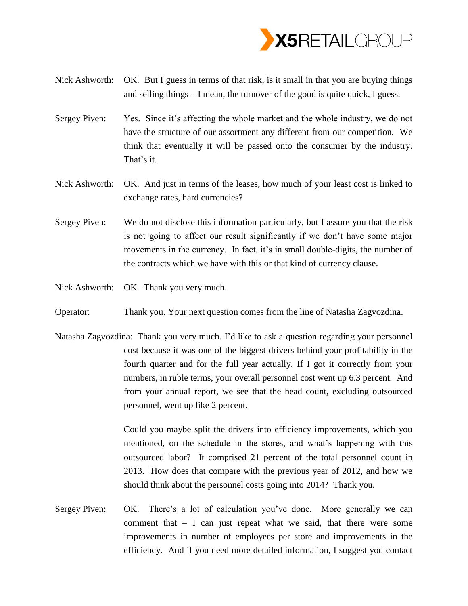

- Nick Ashworth: OK. But I guess in terms of that risk, is it small in that you are buying things and selling things – I mean, the turnover of the good is quite quick, I guess.
- Sergey Piven: Yes. Since it's affecting the whole market and the whole industry, we do not have the structure of our assortment any different from our competition. We think that eventually it will be passed onto the consumer by the industry. That's it.
- Nick Ashworth: OK. And just in terms of the leases, how much of your least cost is linked to exchange rates, hard currencies?
- Sergey Piven: We do not disclose this information particularly, but I assure you that the risk is not going to affect our result significantly if we don't have some major movements in the currency. In fact, it's in small double-digits, the number of the contracts which we have with this or that kind of currency clause.
- Nick Ashworth: OK. Thank you very much.
- Operator: Thank you. Your next question comes from the line of Natasha Zagvozdina.
- Natasha Zagvozdina: Thank you very much. I'd like to ask a question regarding your personnel cost because it was one of the biggest drivers behind your profitability in the fourth quarter and for the full year actually. If I got it correctly from your numbers, in ruble terms, your overall personnel cost went up 6.3 percent. And from your annual report, we see that the head count, excluding outsourced personnel, went up like 2 percent.

Could you maybe split the drivers into efficiency improvements, which you mentioned, on the schedule in the stores, and what's happening with this outsourced labor? It comprised 21 percent of the total personnel count in 2013. How does that compare with the previous year of 2012, and how we should think about the personnel costs going into 2014? Thank you.

Sergey Piven: OK. There's a lot of calculation you've done. More generally we can comment that  $- I$  can just repeat what we said, that there were some improvements in number of employees per store and improvements in the efficiency. And if you need more detailed information, I suggest you contact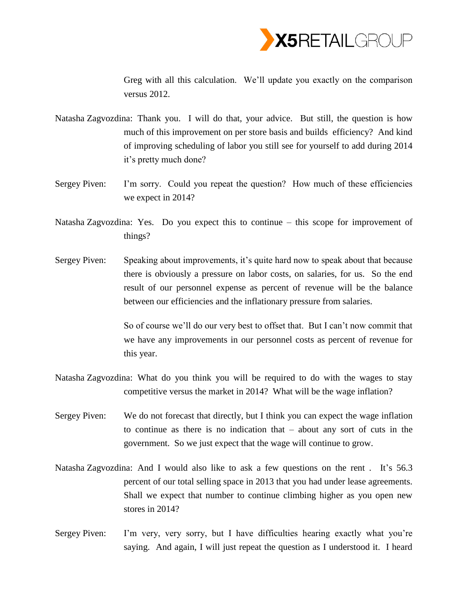

Greg with all this calculation. We'll update you exactly on the comparison versus 2012.

- Natasha Zagvozdina: Thank you. I will do that, your advice. But still, the question is how much of this improvement on per store basis and builds efficiency? And kind of improving scheduling of labor you still see for yourself to add during 2014 it's pretty much done?
- Sergey Piven: I'm sorry. Could you repeat the question? How much of these efficiencies we expect in 2014?
- Natasha Zagvozdina: Yes. Do you expect this to continue this scope for improvement of things?
- Sergey Piven: Speaking about improvements, it's quite hard now to speak about that because there is obviously a pressure on labor costs, on salaries, for us. So the end result of our personnel expense as percent of revenue will be the balance between our efficiencies and the inflationary pressure from salaries.

So of course we'll do our very best to offset that. But I can't now commit that we have any improvements in our personnel costs as percent of revenue for this year.

- Natasha Zagvozdina: What do you think you will be required to do with the wages to stay competitive versus the market in 2014? What will be the wage inflation?
- Sergey Piven: We do not forecast that directly, but I think you can expect the wage inflation to continue as there is no indication that – about any sort of cuts in the government. So we just expect that the wage will continue to grow.
- Natasha Zagvozdina: And I would also like to ask a few questions on the rent . It's 56.3 percent of our total selling space in 2013 that you had under lease agreements. Shall we expect that number to continue climbing higher as you open new stores in 2014?
- Sergey Piven: I'm very, very sorry, but I have difficulties hearing exactly what you're saying. And again, I will just repeat the question as I understood it. I heard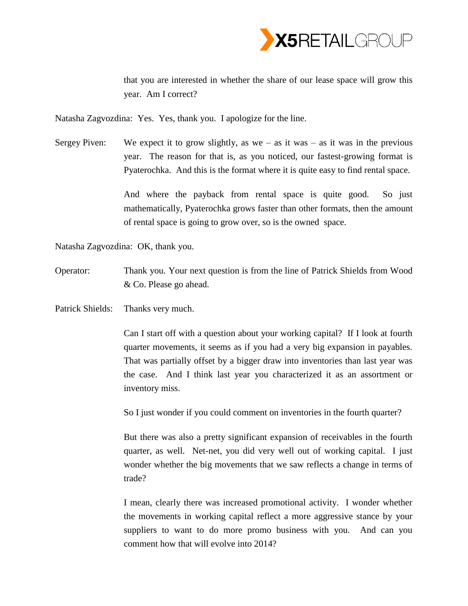

that you are interested in whether the share of our lease space will grow this year. Am I correct?

Natasha Zagvozdina: Yes. Yes, thank you. I apologize for the line.

Sergey Piven: We expect it to grow slightly, as we – as it was – as it was in the previous year. The reason for that is, as you noticed, our fastest-growing format is Pyaterochka. And this is the format where it is quite easy to find rental space.

> And where the payback from rental space is quite good. So just mathematically, Pyaterochka grows faster than other formats, then the amount of rental space is going to grow over, so is the owned space.

Natasha Zagvozdina: OK, thank you.

- Operator: Thank you. Your next question is from the line of Patrick Shields from Wood & Co. Please go ahead.
- Patrick Shields: Thanks very much.

Can I start off with a question about your working capital? If I look at fourth quarter movements, it seems as if you had a very big expansion in payables. That was partially offset by a bigger draw into inventories than last year was the case. And I think last year you characterized it as an assortment or inventory miss.

So I just wonder if you could comment on inventories in the fourth quarter?

But there was also a pretty significant expansion of receivables in the fourth quarter, as well. Net-net, you did very well out of working capital. I just wonder whether the big movements that we saw reflects a change in terms of trade?

I mean, clearly there was increased promotional activity. I wonder whether the movements in working capital reflect a more aggressive stance by your suppliers to want to do more promo business with you. And can you comment how that will evolve into 2014?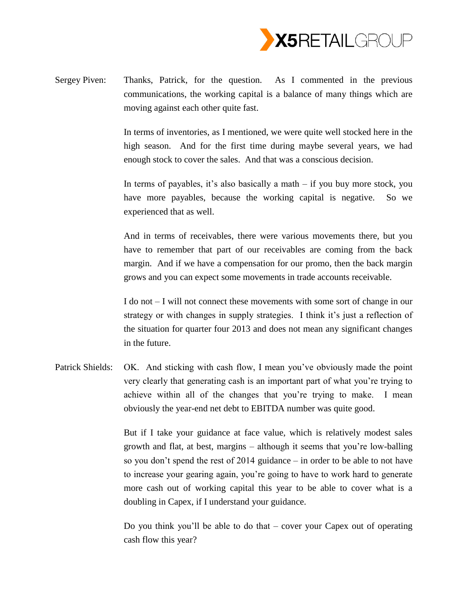

Sergey Piven: Thanks, Patrick, for the question. As I commented in the previous communications, the working capital is a balance of many things which are moving against each other quite fast.

> In terms of inventories, as I mentioned, we were quite well stocked here in the high season. And for the first time during maybe several years, we had enough stock to cover the sales. And that was a conscious decision.

> In terms of payables, it's also basically a math – if you buy more stock, you have more payables, because the working capital is negative. So we experienced that as well.

> And in terms of receivables, there were various movements there, but you have to remember that part of our receivables are coming from the back margin. And if we have a compensation for our promo, then the back margin grows and you can expect some movements in trade accounts receivable.

> I do not – I will not connect these movements with some sort of change in our strategy or with changes in supply strategies. I think it's just a reflection of the situation for quarter four 2013 and does not mean any significant changes in the future.

Patrick Shields: OK. And sticking with cash flow, I mean you've obviously made the point very clearly that generating cash is an important part of what you're trying to achieve within all of the changes that you're trying to make. I mean obviously the year-end net debt to EBITDA number was quite good.

> But if I take your guidance at face value, which is relatively modest sales growth and flat, at best, margins – although it seems that you're low-balling so you don't spend the rest of 2014 guidance – in order to be able to not have to increase your gearing again, you're going to have to work hard to generate more cash out of working capital this year to be able to cover what is a doubling in Capex, if I understand your guidance.

> Do you think you'll be able to do that – cover your Capex out of operating cash flow this year?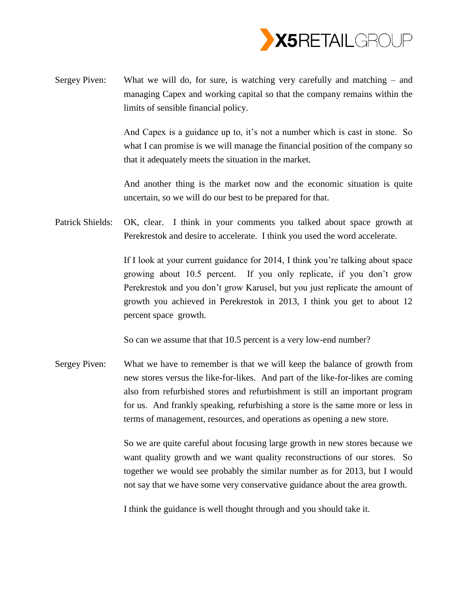

Sergey Piven: What we will do, for sure, is watching very carefully and matching – and managing Capex and working capital so that the company remains within the limits of sensible financial policy.

> And Capex is a guidance up to, it's not a number which is cast in stone. So what I can promise is we will manage the financial position of the company so that it adequately meets the situation in the market.

> And another thing is the market now and the economic situation is quite uncertain, so we will do our best to be prepared for that.

Patrick Shields: OK, clear. I think in your comments you talked about space growth at Perekrestok and desire to accelerate. I think you used the word accelerate.

> If I look at your current guidance for 2014, I think you're talking about space growing about 10.5 percent. If you only replicate, if you don't grow Perekrestok and you don't grow Karusel, but you just replicate the amount of growth you achieved in Perekrestok in 2013, I think you get to about 12 percent space growth.

So can we assume that that 10.5 percent is a very low-end number?

Sergey Piven: What we have to remember is that we will keep the balance of growth from new stores versus the like-for-likes. And part of the like-for-likes are coming also from refurbished stores and refurbishment is still an important program for us. And frankly speaking, refurbishing a store is the same more or less in terms of management, resources, and operations as opening a new store.

> So we are quite careful about focusing large growth in new stores because we want quality growth and we want quality reconstructions of our stores. So together we would see probably the similar number as for 2013, but I would not say that we have some very conservative guidance about the area growth.

I think the guidance is well thought through and you should take it.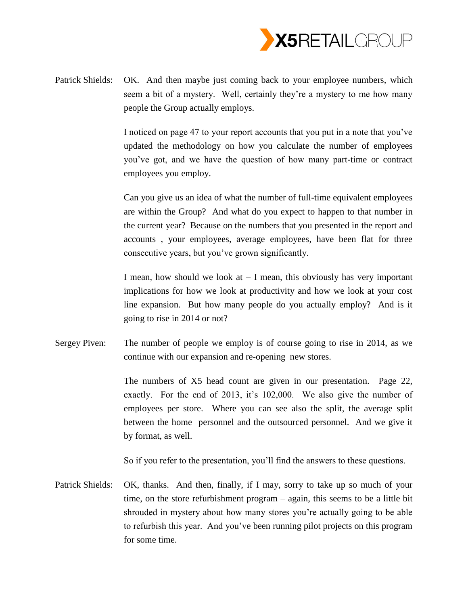

Patrick Shields: OK. And then maybe just coming back to your employee numbers, which seem a bit of a mystery. Well, certainly they're a mystery to me how many people the Group actually employs.

> I noticed on page 47 to your report accounts that you put in a note that you've updated the methodology on how you calculate the number of employees you've got, and we have the question of how many part-time or contract employees you employ.

> Can you give us an idea of what the number of full-time equivalent employees are within the Group? And what do you expect to happen to that number in the current year? Because on the numbers that you presented in the report and accounts , your employees, average employees, have been flat for three consecutive years, but you've grown significantly.

> I mean, how should we look at  $-$  I mean, this obviously has very important implications for how we look at productivity and how we look at your cost line expansion. But how many people do you actually employ? And is it going to rise in 2014 or not?

Sergey Piven: The number of people we employ is of course going to rise in 2014, as we continue with our expansion and re-opening new stores.

> The numbers of X5 head count are given in our presentation. Page 22, exactly. For the end of 2013, it's 102,000. We also give the number of employees per store. Where you can see also the split, the average split between the home personnel and the outsourced personnel. And we give it by format, as well.

So if you refer to the presentation, you'll find the answers to these questions.

Patrick Shields: OK, thanks. And then, finally, if I may, sorry to take up so much of your time, on the store refurbishment program – again, this seems to be a little bit shrouded in mystery about how many stores you're actually going to be able to refurbish this year. And you've been running pilot projects on this program for some time.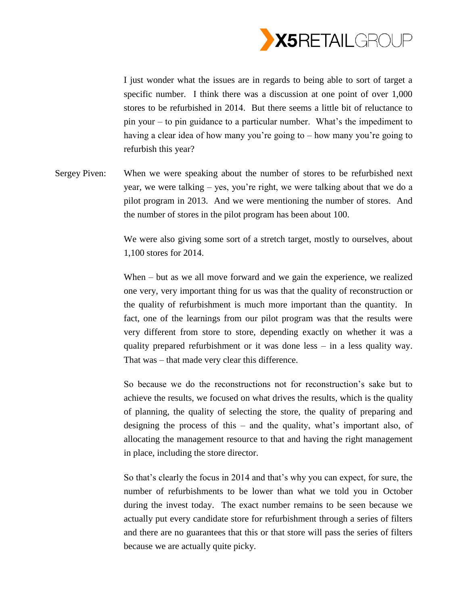

I just wonder what the issues are in regards to being able to sort of target a specific number. I think there was a discussion at one point of over 1,000 stores to be refurbished in 2014. But there seems a little bit of reluctance to pin your – to pin guidance to a particular number. What's the impediment to having a clear idea of how many you're going to – how many you're going to refurbish this year?

Sergey Piven: When we were speaking about the number of stores to be refurbished next year, we were talking – yes, you're right, we were talking about that we do a pilot program in 2013. And we were mentioning the number of stores. And the number of stores in the pilot program has been about 100.

> We were also giving some sort of a stretch target, mostly to ourselves, about 1,100 stores for 2014.

> When – but as we all move forward and we gain the experience, we realized one very, very important thing for us was that the quality of reconstruction or the quality of refurbishment is much more important than the quantity. In fact, one of the learnings from our pilot program was that the results were very different from store to store, depending exactly on whether it was a quality prepared refurbishment or it was done less – in a less quality way. That was – that made very clear this difference.

> So because we do the reconstructions not for reconstruction's sake but to achieve the results, we focused on what drives the results, which is the quality of planning, the quality of selecting the store, the quality of preparing and designing the process of this – and the quality, what's important also, of allocating the management resource to that and having the right management in place, including the store director.

> So that's clearly the focus in 2014 and that's why you can expect, for sure, the number of refurbishments to be lower than what we told you in October during the invest today. The exact number remains to be seen because we actually put every candidate store for refurbishment through a series of filters and there are no guarantees that this or that store will pass the series of filters because we are actually quite picky.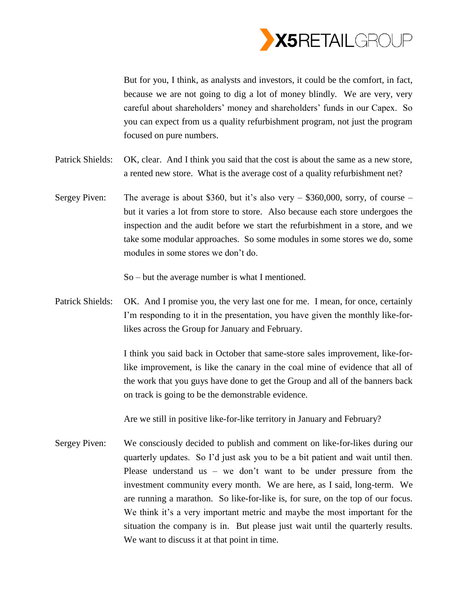

But for you, I think, as analysts and investors, it could be the comfort, in fact, because we are not going to dig a lot of money blindly. We are very, very careful about shareholders' money and shareholders' funds in our Capex. So you can expect from us a quality refurbishment program, not just the program focused on pure numbers.

- Patrick Shields: OK, clear. And I think you said that the cost is about the same as a new store, a rented new store. What is the average cost of a quality refurbishment net?
- Sergey Piven: The average is about \$360, but it's also very  $-$  \$360,000, sorry, of course  $$ but it varies a lot from store to store. Also because each store undergoes the inspection and the audit before we start the refurbishment in a store, and we take some modular approaches. So some modules in some stores we do, some modules in some stores we don't do.

So – but the average number is what I mentioned.

Patrick Shields: OK. And I promise you, the very last one for me. I mean, for once, certainly I'm responding to it in the presentation, you have given the monthly like-forlikes across the Group for January and February.

> I think you said back in October that same-store sales improvement, like-forlike improvement, is like the canary in the coal mine of evidence that all of the work that you guys have done to get the Group and all of the banners back on track is going to be the demonstrable evidence.

Are we still in positive like-for-like territory in January and February?

Sergey Piven: We consciously decided to publish and comment on like-for-likes during our quarterly updates. So I'd just ask you to be a bit patient and wait until then. Please understand us – we don't want to be under pressure from the investment community every month. We are here, as I said, long-term. We are running a marathon. So like-for-like is, for sure, on the top of our focus. We think it's a very important metric and maybe the most important for the situation the company is in. But please just wait until the quarterly results. We want to discuss it at that point in time.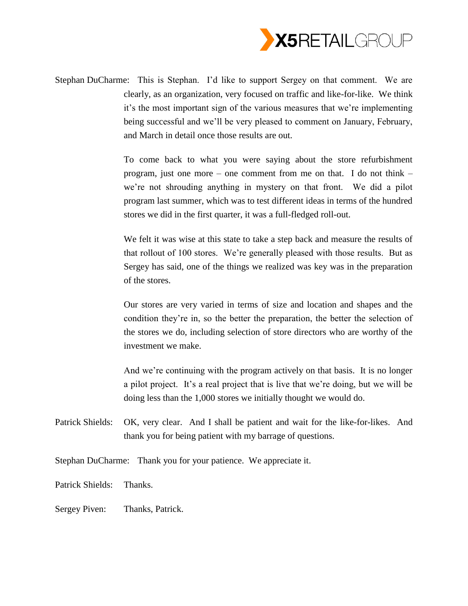

Stephan DuCharme: This is Stephan. I'd like to support Sergey on that comment. We are clearly, as an organization, very focused on traffic and like-for-like. We think it's the most important sign of the various measures that we're implementing being successful and we'll be very pleased to comment on January, February, and March in detail once those results are out.

> To come back to what you were saying about the store refurbishment program, just one more – one comment from me on that. I do not think – we're not shrouding anything in mystery on that front. We did a pilot program last summer, which was to test different ideas in terms of the hundred stores we did in the first quarter, it was a full-fledged roll-out.

> We felt it was wise at this state to take a step back and measure the results of that rollout of 100 stores. We're generally pleased with those results. But as Sergey has said, one of the things we realized was key was in the preparation of the stores.

> Our stores are very varied in terms of size and location and shapes and the condition they're in, so the better the preparation, the better the selection of the stores we do, including selection of store directors who are worthy of the investment we make.

> And we're continuing with the program actively on that basis. It is no longer a pilot project. It's a real project that is live that we're doing, but we will be doing less than the 1,000 stores we initially thought we would do.

Patrick Shields: OK, very clear. And I shall be patient and wait for the like-for-likes. And thank you for being patient with my barrage of questions.

Stephan DuCharme: Thank you for your patience. We appreciate it.

- Patrick Shields: Thanks.
- Sergey Piven: Thanks, Patrick.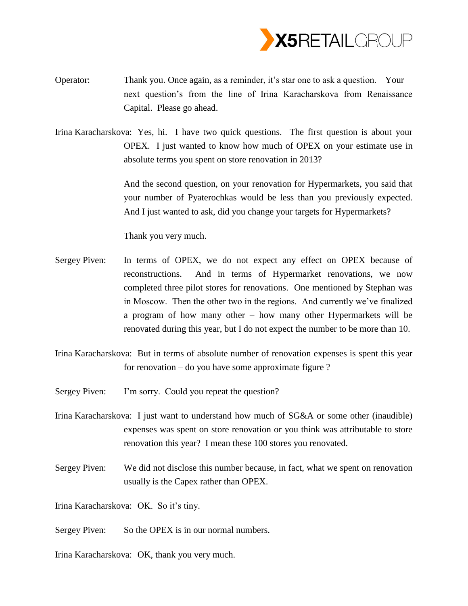

- Operator: Thank you. Once again, as a reminder, it's star one to ask a question. Your next question's from the line of Irina Karacharskova from Renaissance Capital. Please go ahead.
- Irina Karacharskova: Yes, hi. I have two quick questions. The first question is about your OPEX. I just wanted to know how much of OPEX on your estimate use in absolute terms you spent on store renovation in 2013?

And the second question, on your renovation for Hypermarkets, you said that your number of Pyaterochkas would be less than you previously expected. And I just wanted to ask, did you change your targets for Hypermarkets?

Thank you very much.

- Sergey Piven: In terms of OPEX, we do not expect any effect on OPEX because of reconstructions. And in terms of Hypermarket renovations, we now completed three pilot stores for renovations. One mentioned by Stephan was in Moscow. Then the other two in the regions. And currently we've finalized a program of how many other – how many other Hypermarkets will be renovated during this year, but I do not expect the number to be more than 10.
- Irina Karacharskova: But in terms of absolute number of renovation expenses is spent this year for renovation – do you have some approximate figure ?
- Sergey Piven: I'm sorry. Could you repeat the question?
- Irina Karacharskova: I just want to understand how much of SG&A or some other (inaudible) expenses was spent on store renovation or you think was attributable to store renovation this year? I mean these 100 stores you renovated.
- Sergey Piven: We did not disclose this number because, in fact, what we spent on renovation usually is the Capex rather than OPEX.

Irina Karacharskova: OK. So it's tiny.

- Sergey Piven: So the OPEX is in our normal numbers.
- Irina Karacharskova: OK, thank you very much.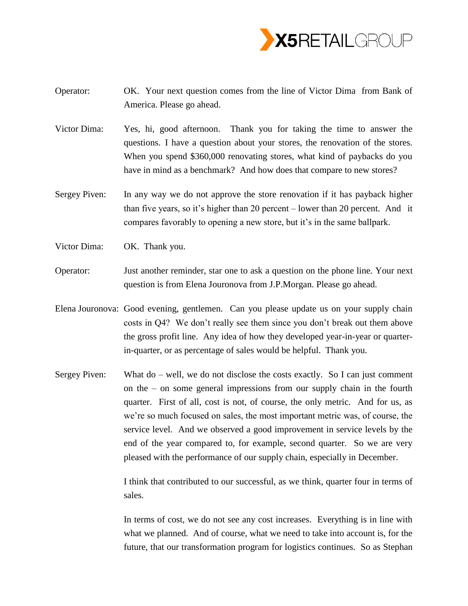

- Operator: OK. Your next question comes from the line of Victor Dima from Bank of America. Please go ahead.
- Victor Dima: Yes, hi, good afternoon. Thank you for taking the time to answer the questions. I have a question about your stores, the renovation of the stores. When you spend \$360,000 renovating stores, what kind of paybacks do you have in mind as a benchmark? And how does that compare to new stores?
- Sergey Piven: In any way we do not approve the store renovation if it has payback higher than five years, so it's higher than 20 percent – lower than 20 percent. And it compares favorably to opening a new store, but it's in the same ballpark.
- Victor Dima: OK. Thank you.
- Operator: Just another reminder, star one to ask a question on the phone line. Your next question is from Elena Jouronova from J.P.Morgan. Please go ahead.
- Elena Jouronova: Good evening, gentlemen. Can you please update us on your supply chain costs in Q4? We don't really see them since you don't break out them above the gross profit line. Any idea of how they developed year-in-year or quarterin-quarter, or as percentage of sales would be helpful. Thank you.
- Sergey Piven: What do well, we do not disclose the costs exactly. So I can just comment on the – on some general impressions from our supply chain in the fourth quarter. First of all, cost is not, of course, the only metric. And for us, as we're so much focused on sales, the most important metric was, of course, the service level. And we observed a good improvement in service levels by the end of the year compared to, for example, second quarter. So we are very pleased with the performance of our supply chain, especially in December.

I think that contributed to our successful, as we think, quarter four in terms of sales.

In terms of cost, we do not see any cost increases. Everything is in line with what we planned. And of course, what we need to take into account is, for the future, that our transformation program for logistics continues. So as Stephan